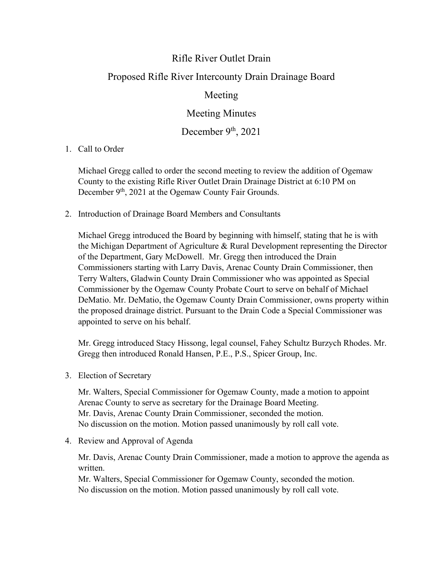## Rifle River Outlet Drain

## Proposed Rifle River Intercounty Drain Drainage Board

## Meeting

Meeting Minutes

December  $9<sup>th</sup>$ , 2021

1. Call to Order

Michael Gregg called to order the second meeting to review the addition of Ogemaw County to the existing Rifle River Outlet Drain Drainage District at 6:10 PM on December 9<sup>th</sup>, 2021 at the Ogemaw County Fair Grounds.

2. Introduction of Drainage Board Members and Consultants

Michael Gregg introduced the Board by beginning with himself, stating that he is with the Michigan Department of Agriculture & Rural Development representing the Director of the Department, Gary McDowell. Mr. Gregg then introduced the Drain Commissioners starting with Larry Davis, Arenac County Drain Commissioner, then Terry Walters, Gladwin County Drain Commissioner who was appointed as Special Commissioner by the Ogemaw County Probate Court to serve on behalf of Michael DeMatio. Mr. DeMatio, the Ogemaw County Drain Commissioner, owns property within the proposed drainage district. Pursuant to the Drain Code a Special Commissioner was appointed to serve on his behalf.

Mr. Gregg introduced Stacy Hissong, legal counsel, Fahey Schultz Burzych Rhodes. Mr. Gregg then introduced Ronald Hansen, P.E., P.S., Spicer Group, Inc.

3. Election of Secretary

Mr. Walters, Special Commissioner for Ogemaw County, made a motion to appoint Arenac County to serve as secretary for the Drainage Board Meeting. Mr. Davis, Arenac County Drain Commissioner, seconded the motion. No discussion on the motion. Motion passed unanimously by roll call vote.

4. Review and Approval of Agenda

Mr. Davis, Arenac County Drain Commissioner, made a motion to approve the agenda as written.

Mr. Walters, Special Commissioner for Ogemaw County, seconded the motion. No discussion on the motion. Motion passed unanimously by roll call vote.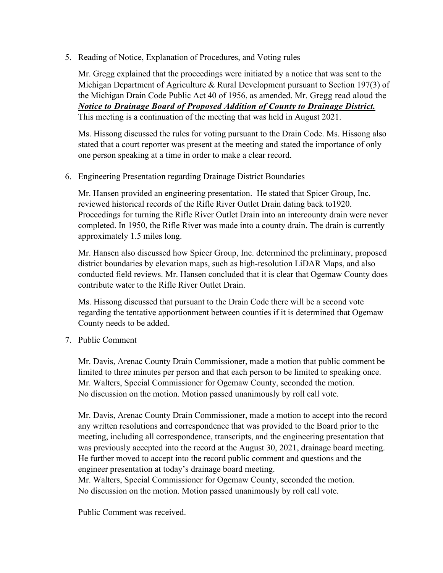5. Reading of Notice, Explanation of Procedures, and Voting rules

Mr. Gregg explained that the proceedings were initiated by a notice that was sent to the Michigan Department of Agriculture & Rural Development pursuant to Section 197(3) of the Michigan Drain Code Public Act 40 of 1956, as amended. Mr. Gregg read aloud the *Notice to Drainage Board of Proposed Addition of County to Drainage District.*  This meeting is a continuation of the meeting that was held in August 2021.

Ms. Hissong discussed the rules for voting pursuant to the Drain Code. Ms. Hissong also stated that a court reporter was present at the meeting and stated the importance of only one person speaking at a time in order to make a clear record.

## 6. Engineering Presentation regarding Drainage District Boundaries

Mr. Hansen provided an engineering presentation. He stated that Spicer Group, Inc. reviewed historical records of the Rifle River Outlet Drain dating back to1920. Proceedings for turning the Rifle River Outlet Drain into an intercounty drain were never completed. In 1950, the Rifle River was made into a county drain. The drain is currently approximately 1.5 miles long.

Mr. Hansen also discussed how Spicer Group, Inc. determined the preliminary, proposed district boundaries by elevation maps, such as high-resolution LiDAR Maps, and also conducted field reviews. Mr. Hansen concluded that it is clear that Ogemaw County does contribute water to the Rifle River Outlet Drain.

Ms. Hissong discussed that pursuant to the Drain Code there will be a second vote regarding the tentative apportionment between counties if it is determined that Ogemaw County needs to be added.

7. Public Comment

Mr. Davis, Arenac County Drain Commissioner, made a motion that public comment be limited to three minutes per person and that each person to be limited to speaking once. Mr. Walters, Special Commissioner for Ogemaw County, seconded the motion. No discussion on the motion. Motion passed unanimously by roll call vote.

Mr. Davis, Arenac County Drain Commissioner, made a motion to accept into the record any written resolutions and correspondence that was provided to the Board prior to the meeting, including all correspondence, transcripts, and the engineering presentation that was previously accepted into the record at the August 30, 2021, drainage board meeting. He further moved to accept into the record public comment and questions and the engineer presentation at today's drainage board meeting.

Mr. Walters, Special Commissioner for Ogemaw County, seconded the motion. No discussion on the motion. Motion passed unanimously by roll call vote.

Public Comment was received.